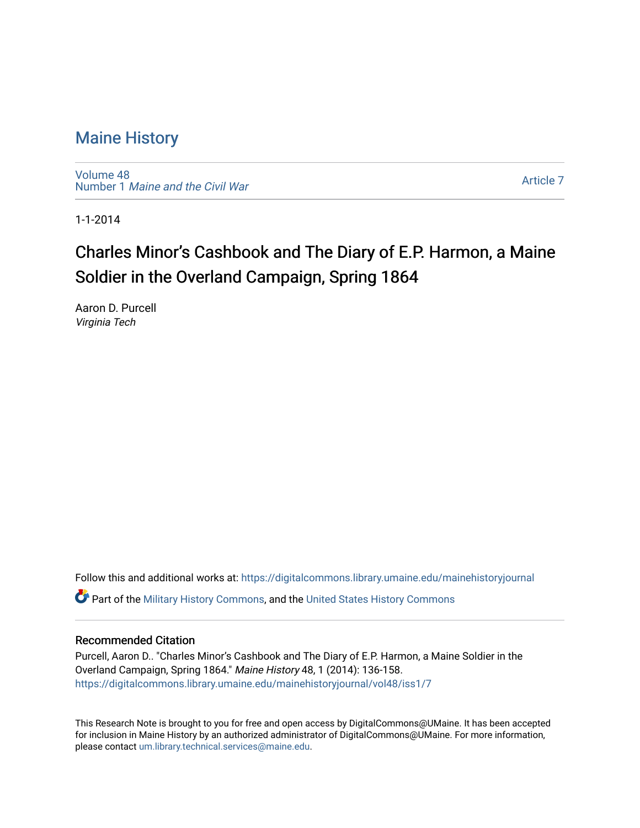## [Maine History](https://digitalcommons.library.umaine.edu/mainehistoryjournal)

[Volume 48](https://digitalcommons.library.umaine.edu/mainehistoryjournal/vol48) Number 1 [Maine and the Civil War](https://digitalcommons.library.umaine.edu/mainehistoryjournal/vol48/iss1)

[Article 7](https://digitalcommons.library.umaine.edu/mainehistoryjournal/vol48/iss1/7) 

1-1-2014

# Charles Minor's Cashbook and The Diary of E.P. Harmon, a Maine Soldier in the Overland Campaign, Spring 1864

Aaron D. Purcell Virginia Tech

Follow this and additional works at: [https://digitalcommons.library.umaine.edu/mainehistoryjournal](https://digitalcommons.library.umaine.edu/mainehistoryjournal?utm_source=digitalcommons.library.umaine.edu%2Fmainehistoryjournal%2Fvol48%2Fiss1%2F7&utm_medium=PDF&utm_campaign=PDFCoverPages)  **C** Part of the [Military History Commons](http://network.bepress.com/hgg/discipline/504?utm_source=digitalcommons.library.umaine.edu%2Fmainehistoryjournal%2Fvol48%2Fiss1%2F7&utm_medium=PDF&utm_campaign=PDFCoverPages), and the [United States History Commons](http://network.bepress.com/hgg/discipline/495?utm_source=digitalcommons.library.umaine.edu%2Fmainehistoryjournal%2Fvol48%2Fiss1%2F7&utm_medium=PDF&utm_campaign=PDFCoverPages)

### Recommended Citation

Purcell, Aaron D.. "Charles Minor's Cashbook and The Diary of E.P. Harmon, a Maine Soldier in the Overland Campaign, Spring 1864." Maine History 48, 1 (2014): 136-158. [https://digitalcommons.library.umaine.edu/mainehistoryjournal/vol48/iss1/7](https://digitalcommons.library.umaine.edu/mainehistoryjournal/vol48/iss1/7?utm_source=digitalcommons.library.umaine.edu%2Fmainehistoryjournal%2Fvol48%2Fiss1%2F7&utm_medium=PDF&utm_campaign=PDFCoverPages)

This Research Note is brought to you for free and open access by DigitalCommons@UMaine. It has been accepted for inclusion in Maine History by an authorized administrator of DigitalCommons@UMaine. For more information, please contact [um.library.technical.services@maine.edu.](mailto:um.library.technical.services@maine.edu)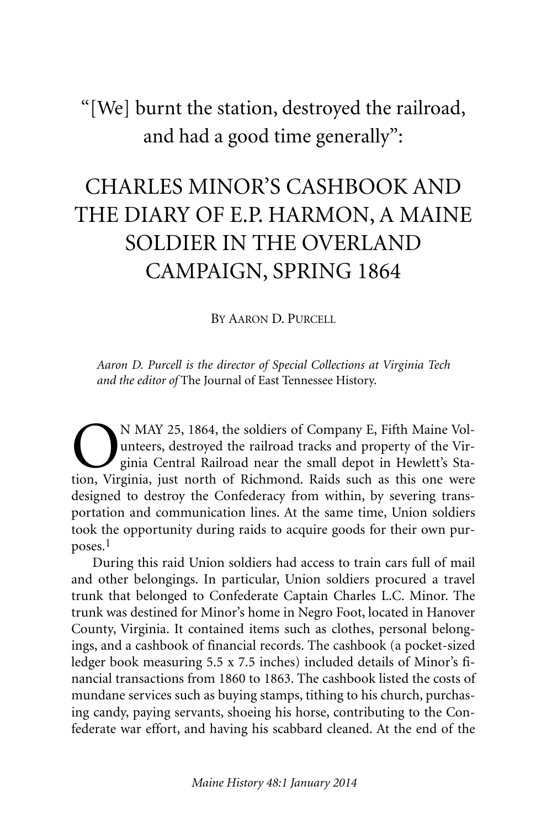# "[We] burnt the station, destroyed the railroad, and had a good time generally":

# CHARLES MINOR'S CASHBOOK AND THE DIARY OF E.P. HARMON, A MAINE SOLDIER IN THE OVERLAND CAMPAIGN, SPRING 1864

BY AARON D. PURCELL

*Aaron D. Purcell is the director of Special Collections at Virginia Tech and the editor of* The Journal of East Tennessee History.

**ON MAY 25, 1864, the soldiers of Company E, Fifth Maine Volumeters, destroyed the railroad tracks and property of the Virginia Central Railroad near the small depot in Hewlett's Station. Virginia, just north of Richmond.** unteers, destroyed the railroad tracks and property of the Virginia Central Railroad near the small depot in Hewlett's Station, Virginia, just north of Richmond. Raids such as this one were designed to destroy the Confederacy from within, by severing transportation and communication lines. At the same time, Union soldiers took the opportunity during raids to acquire goods for their own purposes. 1

During this raid Union soldiers had access to train cars full of mail and other belongings. In particular, Union soldiers procured a travel trunk that belonged to Confederate Captain Charles L.C. Minor. The trunk was destined for Minor's home in Negro Foot, located in Hanover County, Virginia. It contained items such as clothes, personal belongings, and a cashbook of financial records. The cashbook (a pocket-sized ledger book measuring 5.5 x 7.5 inches) included details of Minor's financial transactions from 1860 to 1863. The cashbook listed the costs of mundane services such as buying stamps, tithing to his church, purchasing candy, paying servants, shoeing his horse, contributing to the Confederate war effort, and having his scabbard cleaned. At the end of the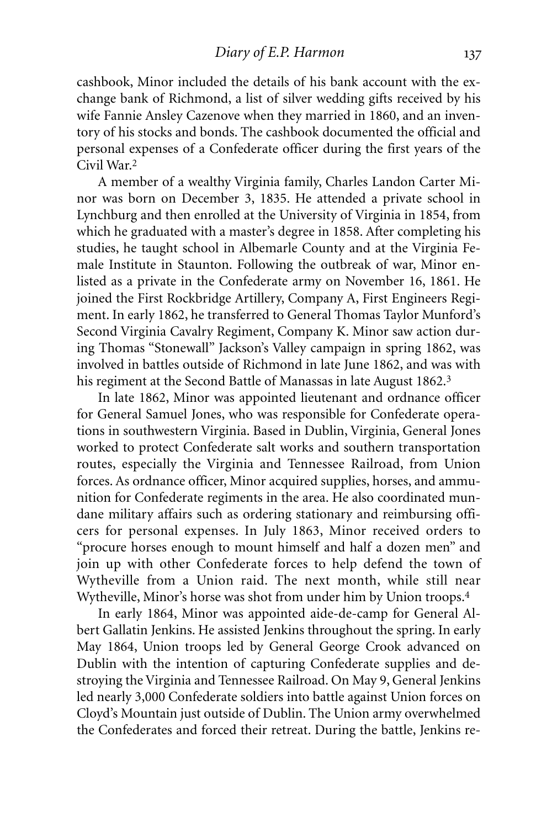cashbook, Minor included the details of his bank account with the exchange bank of Richmond, a list of silver wedding gifts received by his wife Fannie Ansley Cazenove when they married in 1860, and an inventory of his stocks and bonds. The cashbook documented the official and personal expenses of a Confederate officer during the first years of the Civil War.2

A member of a wealthy Virginia family, Charles Landon Carter Minor was born on December 3, 1835. He attended a private school in Lynchburg and then enrolled at the University of Virginia in 1854, from which he graduated with a master's degree in 1858. After completing his studies, he taught school in Albemarle County and at the Virginia Female Institute in Staunton. Following the outbreak of war, Minor enlisted as a private in the Confederate army on November 16, 1861. He joined the First Rockbridge Artillery, Company A, First Engineers Regiment. In early 1862, he transferred to General Thomas Taylor Munford's Second Virginia Cavalry Regiment, Company K. Minor saw action during Thomas "Stonewall" Jackson's Valley campaign in spring 1862, was involved in battles outside of Richmond in late June 1862, and was with his regiment at the Second Battle of Manassas in late August 1862.<sup>3</sup>

In late 1862, Minor was appointed lieutenant and ordnance officer for General Samuel Jones, who was responsible for Confederate operations in southwestern Virginia. Based in Dublin, Virginia, General Jones worked to protect Confederate salt works and southern transportation routes, especially the Virginia and Tennessee Railroad, from Union forces. As ordnance officer, Minor acquired supplies, horses, and ammunition for Confederate regiments in the area. He also coordinated mundane military affairs such as ordering stationary and reimbursing officers for personal expenses. In July 1863, Minor received orders to "procure horses enough to mount himself and half a dozen men" and join up with other Confederate forces to help defend the town of Wytheville from a Union raid. The next month, while still near Wytheville, Minor's horse was shot from under him by Union troops. 4

In early 1864, Minor was appointed aide-de-camp for General Albert Gallatin Jenkins. He assisted Jenkins throughout the spring. In early May 1864, Union troops led by General George Crook advanced on Dublin with the intention of capturing Confederate supplies and destroying the Virginia and Tennessee Railroad. On May 9, General Jenkins led nearly 3,000 Confederate soldiers into battle against Union forces on Cloyd's Mountain just outside of Dublin. The Union army overwhelmed the Confederates and forced their retreat. During the battle, Jenkins re-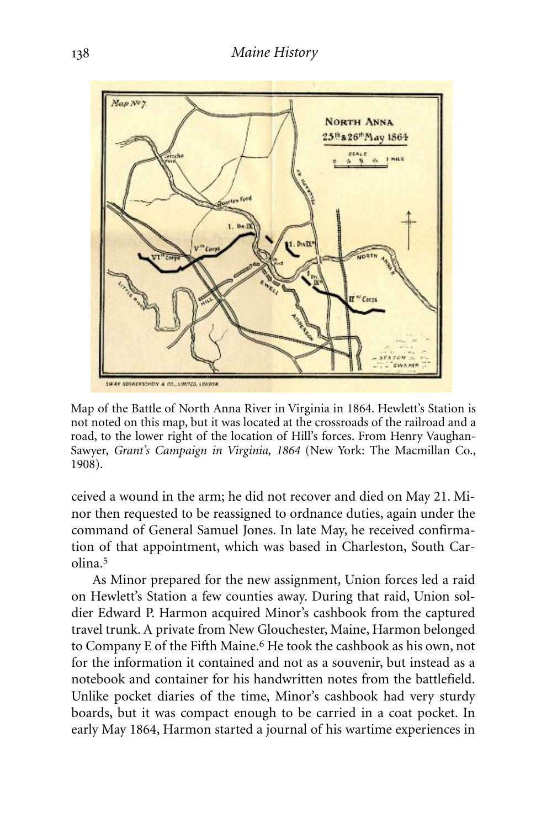

Map of the Battle of North Anna River in Virginia in 1864. Hewlett's Station is not noted on this map, but it was located at the crossroads of the railroad and a road, to the lower right of the location of Hill's forces. From Henry Vaughan-Sawyer, *Grant's Campaign in Virginia, 1864* (New York: The Macmillan Co., 1908).

ceived a wound in the arm; he did not recover and died on May 21. Minor then requested to be reassigned to ordnance duties, again under the command of General Samuel Jones. In late May, he received confirmation of that appointment, which was based in Charleston, South Carolina. 5

As Minor prepared for the new assignment, Union forces led a raid on Hewlett's Station a few counties away. During that raid, Union soldier Edward P. Harmon acquired Minor's cashbook from the captured travel trunk. A private from New Glouchester, Maine, Harmon belonged to Company E of the Fifth Maine. 6 He took the cashbook as his own, not for the information it contained and not as a souvenir, but instead as a notebook and container for his handwritten notes from the battlefield. Unlike pocket diaries of the time, Minor's cashbook had very sturdy boards, but it was compact enough to be carried in a coat pocket. In early May 1864, Harmon started a journal of his wartime experiences in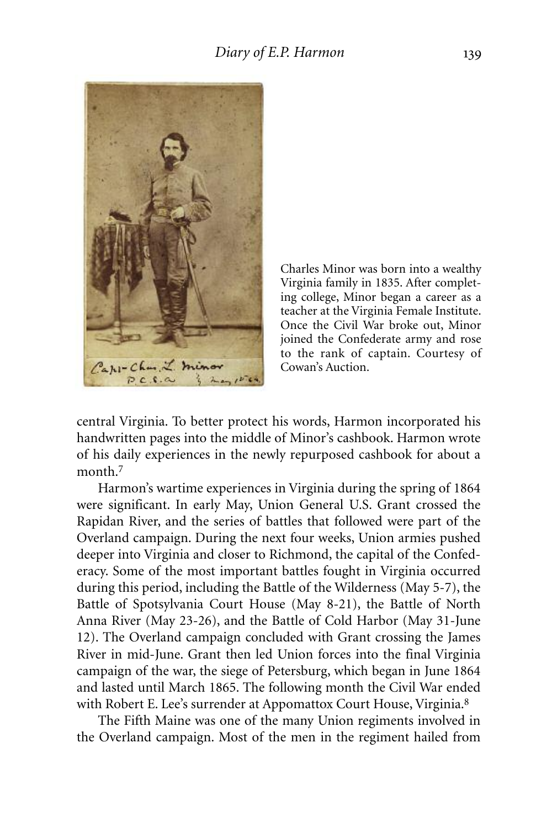

Charles Minor was born into a wealthy Virginia family in 1835. After completing college, Minor began a career as a teacher at the Virginia Female Institute. Once the Civil War broke out, Minor joined the Confederate army and rose to the rank of captain. Courtesy of Cowan's Auction.

central Virginia. To better protect his words, Harmon incorporated his handwritten pages into the middle of Minor's cashbook. Harmon wrote of his daily experiences in the newly repurposed cashbook for about a month. 7

Harmon's wartime experiences in Virginia during the spring of 1864 were significant. In early May, Union General U.S. Grant crossed the Rapidan River, and the series of battles that followed were part of the Overland campaign. During the next four weeks, Union armies pushed deeper into Virginia and closer to Richmond, the capital of the Confederacy. Some of the most important battles fought in Virginia occurred during this period, including the Battle of the Wilderness (May 5-7), the Battle of Spotsylvania Court House (May 8-21), the Battle of North Anna River (May 23-26), and the Battle of Cold Harbor (May 31-June 12). The Overland campaign concluded with Grant crossing the James River in mid-June. Grant then led Union forces into the final Virginia campaign of the war, the siege of Petersburg, which began in June 1864 and lasted until March 1865. The following month the Civil War ended with Robert E. Lee's surrender at Appomattox Court House, Virginia.8

The Fifth Maine was one of the many Union regiments involved in the Overland campaign. Most of the men in the regiment hailed from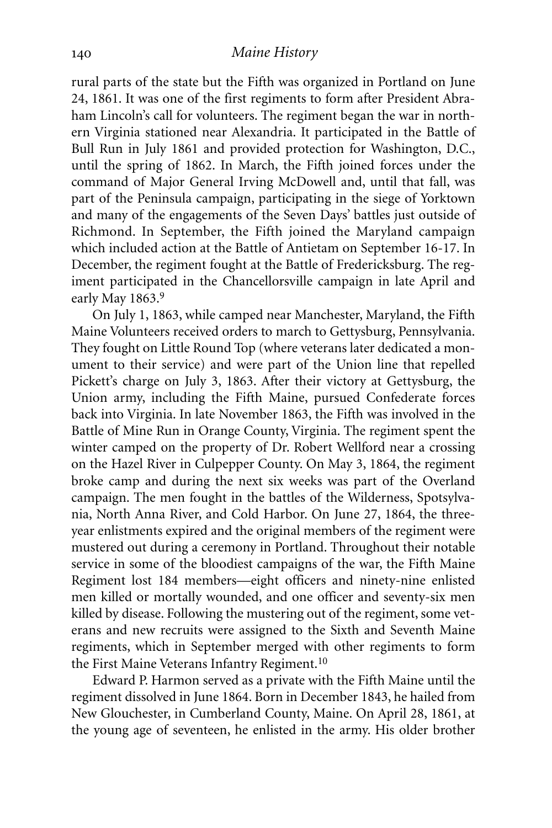rural parts of the state but the Fifth was organized in Portland on June 24, 1861. It was one of the first regiments to form after President Abraham Lincoln's call for volunteers. The regiment began the war in northern Virginia stationed near Alexandria. It participated in the Battle of Bull Run in July 1861 and provided protection for Washington, D.C., until the spring of 1862. In March, the Fifth joined forces under the command of Major General Irving McDowell and, until that fall, was part of the Peninsula campaign, participating in the siege of Yorktown and many of the engagements of the Seven Days' battles just outside of Richmond. In September, the Fifth joined the Maryland campaign which included action at the Battle of Antietam on September 16-17. In December, the regiment fought at the Battle of Fredericksburg. The regiment participated in the Chancellorsville campaign in late April and early May 1863. 9

On July 1, 1863, while camped near Manchester, Maryland, the Fifth Maine Volunteers received orders to march to Gettysburg, Pennsylvania. They fought on Little Round Top (where veterans later dedicated a monument to their service) and were part of the Union line that repelled Pickett's charge on July 3, 1863. After their victory at Gettysburg, the Union army, including the Fifth Maine, pursued Confederate forces back into Virginia. In late November 1863, the Fifth was involved in the Battle of Mine Run in Orange County, Virginia. The regiment spent the winter camped on the property of Dr. Robert Wellford near a crossing on the Hazel River in Culpepper County. On May 3, 1864, the regiment broke camp and during the next six weeks was part of the Overland campaign. The men fought in the battles of the Wilderness, Spotsylvania, North Anna River, and Cold Harbor. On June 27, 1864, the threeyear enlistments expired and the original members of the regiment were mustered out during a ceremony in Portland. Throughout their notable service in some of the bloodiest campaigns of the war, the Fifth Maine Regiment lost 184 members—eight officers and ninety-nine enlisted men killed or mortally wounded, and one officer and seventy-six men killed by disease. Following the mustering out of the regiment, some veterans and new recruits were assigned to the Sixth and Seventh Maine regiments, which in September merged with other regiments to form the First Maine Veterans Infantry Regiment. 10

Edward P. Harmon served as a private with the Fifth Maine until the regiment dissolved in June 1864. Born in December 1843, he hailed from New Glouchester, in Cumberland County, Maine. On April 28, 1861, at the young age of seventeen, he enlisted in the army. His older brother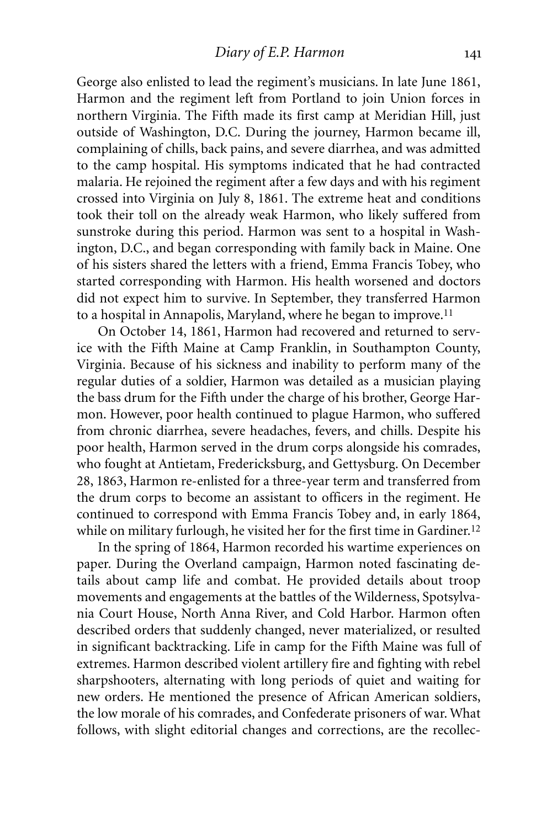George also enlisted to lead the regiment's musicians. In late June 1861, Harmon and the regiment left from Portland to join Union forces in northern Virginia. The Fifth made its first camp at Meridian Hill, just outside of Washington, D.C. During the journey, Harmon became ill, complaining of chills, back pains, and severe diarrhea, and was admitted to the camp hospital. His symptoms indicated that he had contracted malaria. He rejoined the regiment after a few days and with his regiment crossed into Virginia on July 8, 1861. The extreme heat and conditions took their toll on the already weak Harmon, who likely suffered from sunstroke during this period. Harmon was sent to a hospital in Washington, D.C., and began corresponding with family back in Maine. One of his sisters shared the letters with a friend, Emma Francis Tobey, who started corresponding with Harmon. His health worsened and doctors did not expect him to survive. In September, they transferred Harmon to a hospital in Annapolis, Maryland, where he began to improve.<sup>11</sup>

On October 14, 1861, Harmon had recovered and returned to service with the Fifth Maine at Camp Franklin, in Southampton County, Virginia. Because of his sickness and inability to perform many of the regular duties of a soldier, Harmon was detailed as a musician playing the bass drum for the Fifth under the charge of his brother, George Harmon. However, poor health continued to plague Harmon, who suffered from chronic diarrhea, severe headaches, fevers, and chills. Despite his poor health, Harmon served in the drum corps alongside his comrades, who fought at Antietam, Fredericksburg, and Gettysburg. On December 28, 1863, Harmon re-enlisted for a three-year term and transferred from the drum corps to become an assistant to officers in the regiment. He continued to correspond with Emma Francis Tobey and, in early 1864, while on military furlough, he visited her for the first time in Gardiner.<sup>12</sup>

In the spring of 1864, Harmon recorded his wartime experiences on paper. During the Overland campaign, Harmon noted fascinating details about camp life and combat. He provided details about troop movements and engagements at the battles of the Wilderness, Spotsylvania Court House, North Anna River, and Cold Harbor. Harmon often described orders that suddenly changed, never materialized, or resulted in significant backtracking. Life in camp for the Fifth Maine was full of extremes. Harmon described violent artillery fire and fighting with rebel sharpshooters, alternating with long periods of quiet and waiting for new orders. He mentioned the presence of African American soldiers, the low morale of his comrades, and Confederate prisoners of war. What follows, with slight editorial changes and corrections, are the recollec-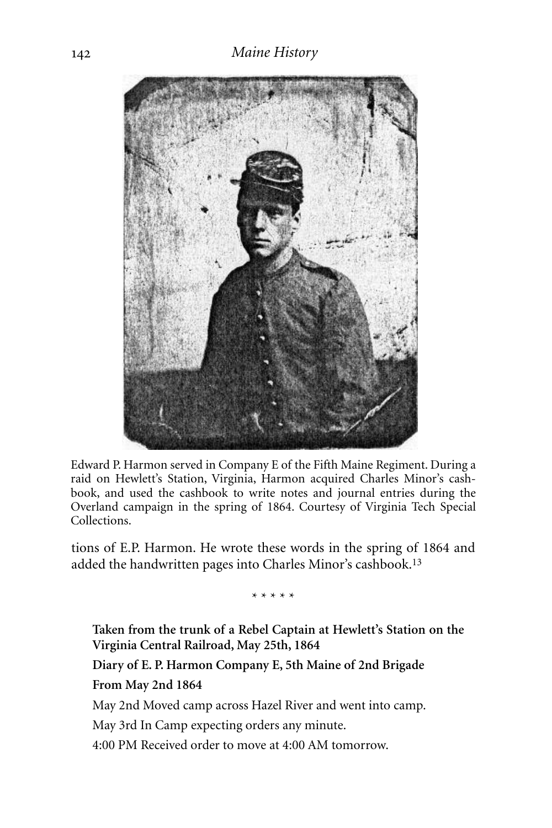

Edward P. Harmon served in Company E of the Fifth Maine Regiment. During a raid on Hewlett's Station, Virginia, Harmon acquired Charles Minor's cashbook, and used the cashbook to write notes and journal entries during the Overland campaign in the spring of 1864. Courtesy of Virginia Tech Special Collections.

tions of E.P. Harmon. He wrote these words in the spring of 1864 and added the handwritten pages into Charles Minor's cashbook.13

\* \* \* \* \*

**Taken from the trunk of a Rebel Captain at Hewlett's Station on the Virginia Central Railroad, May 25th, 1864**

**Diary of E. P. Harmon Company E, 5th Maine of 2nd Brigade From May 2nd 1864**

May 2nd Moved camp across Hazel River and went into camp.

May 3rd In Camp expecting orders any minute.

4:00 PM Received order to move at 4:00 AM tomorrow.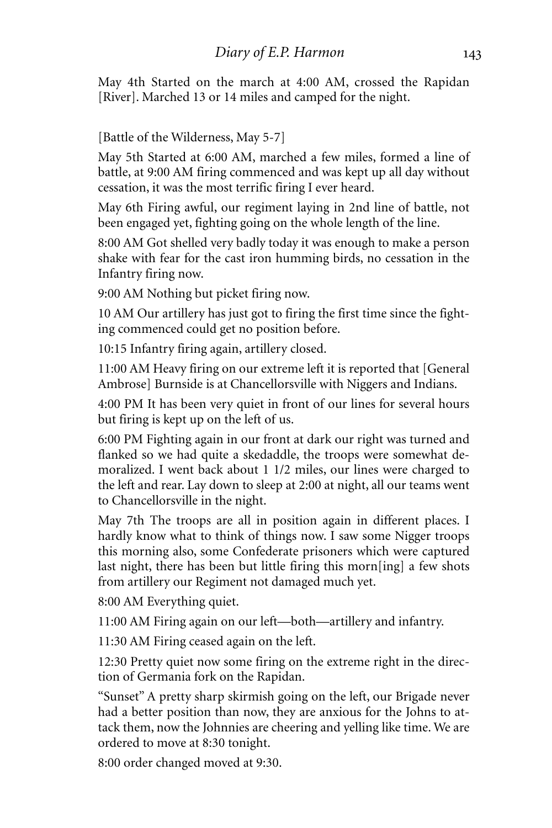May 4th Started on the march at 4:00 AM, crossed the Rapidan [River]. Marched 13 or 14 miles and camped for the night.

[Battle of the Wilderness, May 5-7]

May 5th Started at 6:00 AM, marched a few miles, formed a line of battle, at 9:00 AM firing commenced and was kept up all day without cessation, it was the most terrific firing I ever heard.

May 6th Firing awful, our regiment laying in 2nd line of battle, not been engaged yet, fighting going on the whole length of the line.

8:00 AM Got shelled very badly today it was enough to make a person shake with fear for the cast iron humming birds, no cessation in the Infantry firing now.

9:00 AM Nothing but picket firing now.

10 AM Our artillery has just got to firing the first time since the fighting commenced could get no position before.

10:15 Infantry firing again, artillery closed.

11:00 AM Heavy firing on our extreme left it is reported that [General Ambrose] Burnside is at Chancellorsville with Niggers and Indians.

4:00 PM It has been very quiet in front of our lines for several hours but firing is kept up on the left of us.

6:00 PM Fighting again in our front at dark our right was turned and flanked so we had quite a skedaddle, the troops were somewhat demoralized. I went back about 1 1/2 miles, our lines were charged to the left and rear. Lay down to sleep at 2:00 at night, all our teams went to Chancellorsville in the night.

May 7th The troops are all in position again in different places. I hardly know what to think of things now. I saw some Nigger troops this morning also, some Confederate prisoners which were captured last night, there has been but little firing this morn[ing] a few shots from artillery our Regiment not damaged much yet.

8:00 AM Everything quiet.

11:00 AM Firing again on our left—both—artillery and infantry.

11:30 AM Firing ceased again on the left.

12:30 Pretty quiet now some firing on the extreme right in the direction of Germania fork on the Rapidan.

"Sunset" A pretty sharp skirmish going on the left, our Brigade never had a better position than now, they are anxious for the Johns to attack them, now the Johnnies are cheering and yelling like time. We are ordered to move at 8:30 tonight.

8:00 order changed moved at 9:30.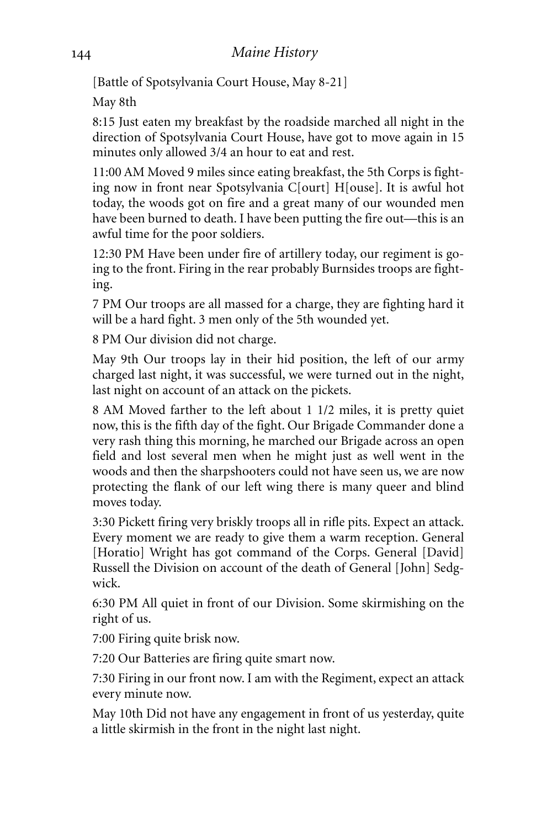[Battle of Spotsylvania Court House, May 8-21]

May 8th

8:15 Just eaten my breakfast by the roadside marched all night in the direction of Spotsylvania Court House, have got to move again in 15 minutes only allowed 3/4 an hour to eat and rest.

11:00 AM Moved 9 miles since eating breakfast, the 5th Corps is fighting now in front near Spotsylvania C[ourt] H[ouse]. It is awful hot today, the woods got on fire and a great many of our wounded men have been burned to death. I have been putting the fire out—this is an awful time for the poor soldiers.

12:30 PM Have been under fire of artillery today, our regiment is going to the front. Firing in the rear probably Burnsides troops are fighting.

7 PM Our troops are all massed for a charge, they are fighting hard it will be a hard fight. 3 men only of the 5th wounded yet.

8 PM Our division did not charge.

May 9th Our troops lay in their hid position, the left of our army charged last night, it was successful, we were turned out in the night, last night on account of an attack on the pickets.

8 AM Moved farther to the left about 1 1/2 miles, it is pretty quiet now, this is the fifth day of the fight. Our Brigade Commander done a very rash thing this morning, he marched our Brigade across an open field and lost several men when he might just as well went in the woods and then the sharpshooters could not have seen us, we are now protecting the flank of our left wing there is many queer and blind moves today.

3:30 Pickett firing very briskly troops all in rifle pits. Expect an attack. Every moment we are ready to give them a warm reception. General [Horatio] Wright has got command of the Corps. General [David] Russell the Division on account of the death of General [John] Sedgwick.

6:30 PM All quiet in front of our Division. Some skirmishing on the right of us.

7:00 Firing quite brisk now.

7:20 Our Batteries are firing quite smart now.

7:30 Firing in our front now. I am with the Regiment, expect an attack every minute now.

May 10th Did not have any engagement in front of us yesterday, quite a little skirmish in the front in the night last night.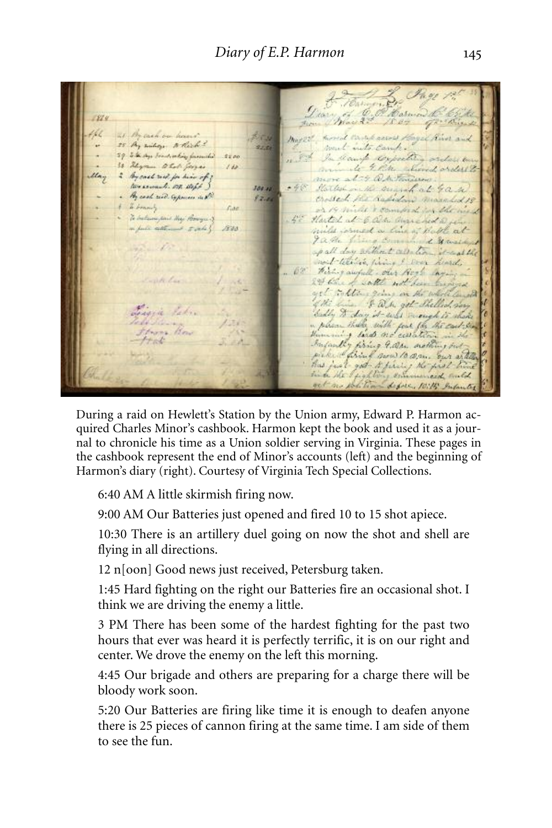Thomas Bay 125 3 1864 466 21 By cash on hours. mysst, moral camp anno staget han and 200 25 My milige Which ? 22.20 29 Electron brandwaling farmities 2200 more at 4 O. Mind and all to 30 Shyram to hall forger 14 May 2 By cash read for him of ? tweenach on wife 1011 048 Harles on the suggest at 4 a. W. . By cool rid. Expenses in the  $12.06$ . I brandy or 14 mile & compact for the west Fine Fine . To believe paid they bearquit 50 Harted at 6 Och anne hed a fe a full attend sale \$ 1800 miles formed a line of Bable at Jathe filing Council & Marshy  $\mathcal{L}$ apall day without allation it was the well-teentre this of soon kind.<br>- 69 What awful , our North my ... entitle in the 24 Charles with not have been and a<br>get the life of the same the whole last house<br>of the life of the same of the life of the same of the same of<br>buddy  $\mathcal T$  day it will good the same of the<br>model of the same of the same o  $1 - 2$ Liggie Patro Sal Todo Silvang /2019 Strong How 

During a raid on Hewlett's Station by the Union army, Edward P. Harmon acquired Charles Minor's cashbook. Harmon kept the book and used it as a journal to chronicle his time as a Union soldier serving in Virginia. These pages in the cashbook represent the end of Minor's accounts (left) and the beginning of Harmon's diary (right). Courtesy of Virginia Tech Special Collections.

6:40 AM A little skirmish firing now.

9:00 AM Our Batteries just opened and fired 10 to 15 shot apiece.

10:30 There is an artillery duel going on now the shot and shell are flying in all directions.

12 n[oon] Good news just received, Petersburg taken.

1:45 Hard fighting on the right our Batteries fire an occasional shot. I think we are driving the enemy a little.

3 PM There has been some of the hardest fighting for the past two hours that ever was heard it is perfectly terrific, it is on our right and center. We drove the enemy on the left this morning.

4:45 Our brigade and others are preparing for a charge there will be bloody work soon.

5:20 Our Batteries are firing like time it is enough to deafen anyone there is 25 pieces of cannon firing at the same time. I am side of them to see the fun.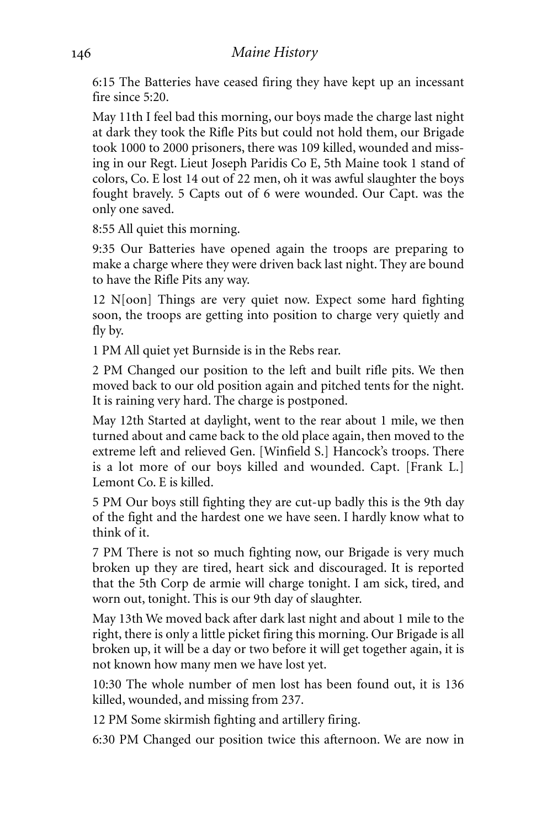6:15 The Batteries have ceased firing they have kept up an incessant fire since 5:20.

May 11th I feel bad this morning, our boys made the charge last night at dark they took the Rifle Pits but could not hold them, our Brigade took 1000 to 2000 prisoners, there was 109 killed, wounded and missing in our Regt. Lieut Joseph Paridis Co E, 5th Maine took 1 stand of colors, Co. E lost 14 out of 22 men, oh it was awful slaughter the boys fought bravely. 5 Capts out of 6 were wounded. Our Capt. was the only one saved.

8:55 All quiet this morning.

9:35 Our Batteries have opened again the troops are preparing to make a charge where they were driven back last night. They are bound to have the Rifle Pits any way.

12 N[oon] Things are very quiet now. Expect some hard fighting soon, the troops are getting into position to charge very quietly and fly by.

1 PM All quiet yet Burnside is in the Rebs rear.

2 PM Changed our position to the left and built rifle pits. We then moved back to our old position again and pitched tents for the night. It is raining very hard. The charge is postponed.

May 12th Started at daylight, went to the rear about 1 mile, we then turned about and came back to the old place again, then moved to the extreme left and relieved Gen. [Winfield S.] Hancock's troops. There is a lot more of our boys killed and wounded. Capt. [Frank L.] Lemont Co. E is killed.

5 PM Our boys still fighting they are cut-up badly this is the 9th day of the fight and the hardest one we have seen. I hardly know what to think of it.

7 PM There is not so much fighting now, our Brigade is very much broken up they are tired, heart sick and discouraged. It is reported that the 5th Corp de armie will charge tonight. I am sick, tired, and worn out, tonight. This is our 9th day of slaughter.

May 13th We moved back after dark last night and about 1 mile to the right, there is only a little picket firing this morning. Our Brigade is all broken up, it will be a day or two before it will get together again, it is not known how many men we have lost yet.

10:30 The whole number of men lost has been found out, it is 136 killed, wounded, and missing from 237.

12 PM Some skirmish fighting and artillery firing.

6:30 PM Changed our position twice this afternoon. We are now in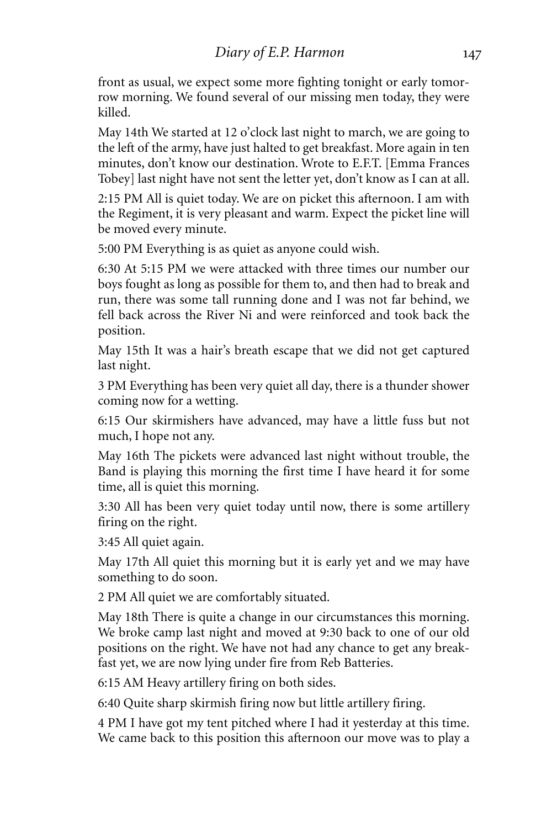front as usual, we expect some more fighting tonight or early tomorrow morning. We found several of our missing men today, they were killed.

May 14th We started at 12 o'clock last night to march, we are going to the left of the army, have just halted to get breakfast. More again in ten minutes, don't know our destination. Wrote to E.F.T. [Emma Frances Tobey] last night have not sent the letter yet, don't know as I can at all.

2:15 PM All is quiet today. We are on picket this afternoon. I am with the Regiment, it is very pleasant and warm. Expect the picket line will be moved every minute.

5:00 PM Everything is as quiet as anyone could wish.

6:30 At 5:15 PM we were attacked with three times our number our boys fought as long as possible for them to, and then had to break and run, there was some tall running done and I was not far behind, we fell back across the River Ni and were reinforced and took back the position.

May 15th It was a hair's breath escape that we did not get captured last night.

3 PM Everything has been very quiet all day, there is a thunder shower coming now for a wetting.

6:15 Our skirmishers have advanced, may have a little fuss but not much, I hope not any.

May 16th The pickets were advanced last night without trouble, the Band is playing this morning the first time I have heard it for some time, all is quiet this morning.

3:30 All has been very quiet today until now, there is some artillery firing on the right.

3:45 All quiet again.

May 17th All quiet this morning but it is early yet and we may have something to do soon.

2 PM All quiet we are comfortably situated.

May 18th There is quite a change in our circumstances this morning. We broke camp last night and moved at 9:30 back to one of our old positions on the right. We have not had any chance to get any breakfast yet, we are now lying under fire from Reb Batteries.

6:15 AM Heavy artillery firing on both sides.

6:40 Quite sharp skirmish firing now but little artillery firing.

4 PM I have got my tent pitched where I had it yesterday at this time. We came back to this position this afternoon our move was to play a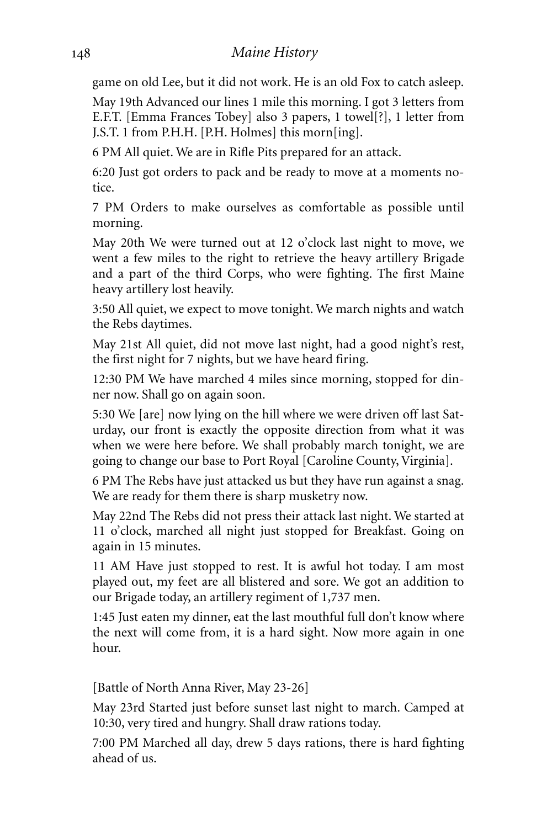### *Maine History*

game on old Lee, but it did not work. He is an old Fox to catch asleep.

May 19th Advanced our lines 1 mile this morning. I got 3 letters from E.F.T. [Emma Frances Tobey] also 3 papers, 1 towel[?], 1 letter from J.S.T. 1 from P.H.H. [P.H. Holmes] this morn[ing].

6 PM All quiet. We are in Rifle Pits prepared for an attack.

6:20 Just got orders to pack and be ready to move at a moments notice.

7 PM Orders to make ourselves as comfortable as possible until morning.

May 20th We were turned out at 12 o'clock last night to move, we went a few miles to the right to retrieve the heavy artillery Brigade and a part of the third Corps, who were fighting. The first Maine heavy artillery lost heavily.

3:50 All quiet, we expect to move tonight. We march nights and watch the Rebs daytimes.

May 21st All quiet, did not move last night, had a good night's rest, the first night for 7 nights, but we have heard firing.

12:30 PM We have marched 4 miles since morning, stopped for dinner now. Shall go on again soon.

5:30 We [are] now lying on the hill where we were driven off last Saturday, our front is exactly the opposite direction from what it was when we were here before. We shall probably march tonight, we are going to change our base to Port Royal [Caroline County,Virginia].

6 PM The Rebs have just attacked us but they have run against a snag. We are ready for them there is sharp musketry now.

May 22nd The Rebs did not press their attack last night. We started at 11 o'clock, marched all night just stopped for Breakfast. Going on again in 15 minutes.

11 AM Have just stopped to rest. It is awful hot today. I am most played out, my feet are all blistered and sore. We got an addition to our Brigade today, an artillery regiment of 1,737 men.

1:45 Just eaten my dinner, eat the last mouthful full don't know where the next will come from, it is a hard sight. Now more again in one hour.

[Battle of North Anna River, May 23-26]

May 23rd Started just before sunset last night to march. Camped at 10:30, very tired and hungry. Shall draw rations today.

7:00 PM Marched all day, drew 5 days rations, there is hard fighting ahead of us.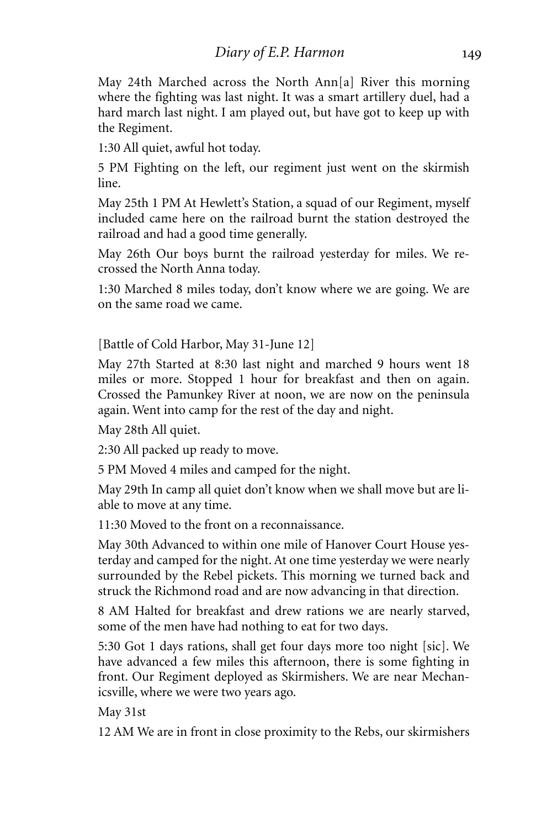May 24th Marched across the North Ann[a] River this morning where the fighting was last night. It was a smart artillery duel, had a hard march last night. I am played out, but have got to keep up with the Regiment.

1:30 All quiet, awful hot today.

5 PM Fighting on the left, our regiment just went on the skirmish line.

May 25th 1 PM At Hewlett's Station, a squad of our Regiment, myself included came here on the railroad burnt the station destroyed the railroad and had a good time generally.

May 26th Our boys burnt the railroad yesterday for miles. We recrossed the North Anna today.

1:30 Marched 8 miles today, don't know where we are going. We are on the same road we came.

[Battle of Cold Harbor, May 31-June 12]

May 27th Started at 8:30 last night and marched 9 hours went 18 miles or more. Stopped 1 hour for breakfast and then on again. Crossed the Pamunkey River at noon, we are now on the peninsula again. Went into camp for the rest of the day and night.

May 28th All quiet.

2:30 All packed up ready to move.

5 PM Moved 4 miles and camped for the night.

May 29th In camp all quiet don't know when we shall move but are liable to move at any time.

11:30 Moved to the front on a reconnaissance.

May 30th Advanced to within one mile of Hanover Court House yesterday and camped for the night.At one time yesterday we were nearly surrounded by the Rebel pickets. This morning we turned back and struck the Richmond road and are now advancing in that direction.

8 AM Halted for breakfast and drew rations we are nearly starved, some of the men have had nothing to eat for two days.

5:30 Got 1 days rations, shall get four days more too night [sic]. We have advanced a few miles this afternoon, there is some fighting in front. Our Regiment deployed as Skirmishers. We are near Mechanicsville, where we were two years ago.

May 31st

12 AM We are in front in close proximity to the Rebs, our skirmishers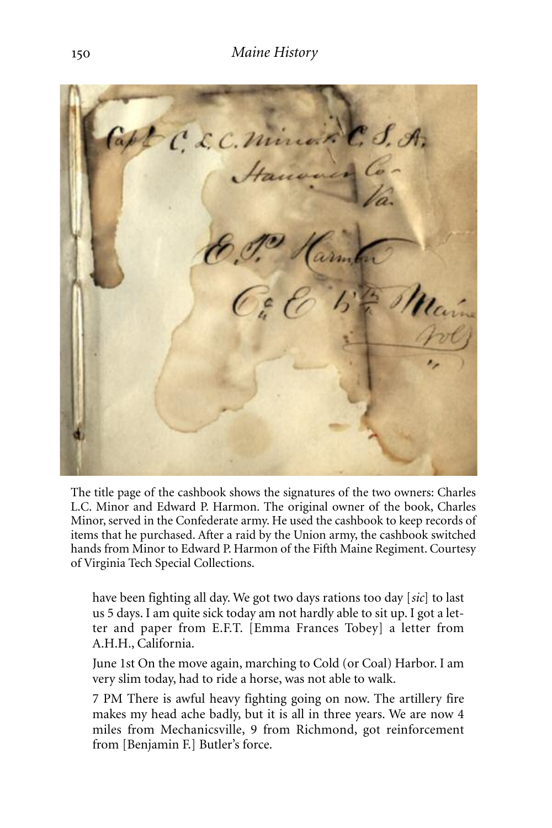

The title page of the cashbook shows the signatures of the two owners: Charles L.C. Minor and Edward P. Harmon. The original owner of the book, Charles Minor, served in the Confederate army. He used the cashbook to keep records of items that he purchased. After a raid by the Union army, the cashbook switched hands from Minor to Edward P. Harmon of the Fifth Maine Regiment. Courtesy of Virginia Tech Special Collections.

have been fighting all day. We got two days rations too day [*sic*] to last us 5 days. I am quite sick today am not hardly able to sit up. I got a letter and paper from E.F.T. [Emma Frances Tobey] a letter from A.H.H., California.

June 1st On the move again, marching to Cold (or Coal) Harbor. I am very slim today, had to ride a horse, was not able to walk.

7 PM There is awful heavy fighting going on now. The artillery fire makes my head ache badly, but it is all in three years. We are now 4 miles from Mechanicsville, 9 from Richmond, got reinforcement from [Benjamin F.] Butler's force.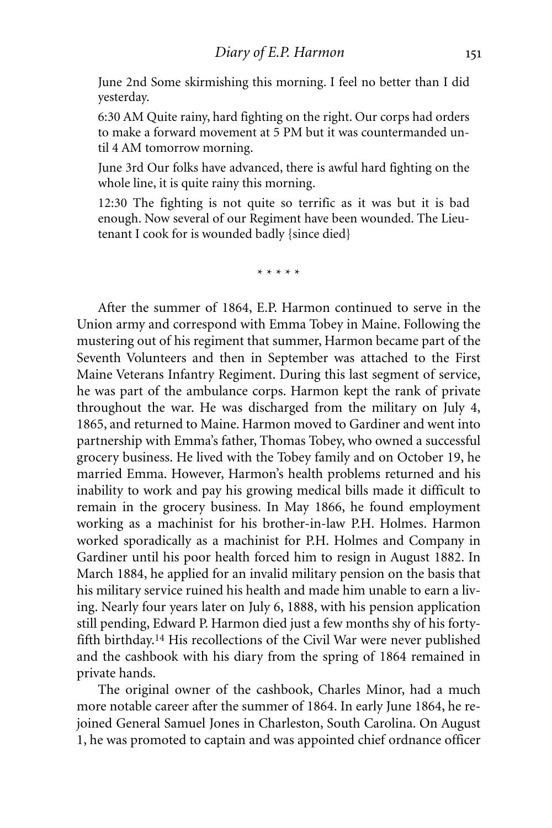June 2nd Some skirmishing this morning. I feel no better than I did yesterday.

6:30 AM Quite rainy, hard fighting on the right. Our corps had orders to make a forward movement at 5 PM but it was countermanded until 4 AM tomorrow morning.

June 3rd Our folks have advanced, there is awful hard fighting on the whole line, it is quite rainy this morning.

12:30 The fighting is not quite so terrific as it was but it is bad enough. Now several of our Regiment have been wounded. The Lieutenant I cook for is wounded badly {since died}

\* \* \* \* \*

After the summer of 1864, E.P. Harmon continued to serve in the Union army and correspond with Emma Tobey in Maine. Following the mustering out of his regiment that summer, Harmon became part of the Seventh Volunteers and then in September was attached to the First Maine Veterans Infantry Regiment. During this last segment of service, he was part of the ambulance corps. Harmon kept the rank of private throughout the war. He was discharged from the military on July 4, 1865, and returned to Maine. Harmon moved to Gardiner and went into partnership with Emma's father, Thomas Tobey, who owned a successful grocery business. He lived with the Tobey family and on October 19, he married Emma. However, Harmon's health problems returned and his inability to work and pay his growing medical bills made it difficult to remain in the grocery business. In May 1866, he found employment working as a machinist for his brother-in-law P.H. Holmes. Harmon worked sporadically as a machinist for P.H. Holmes and Company in Gardiner until his poor health forced him to resign in August 1882. In March 1884, he applied for an invalid military pension on the basis that his military service ruined his health and made him unable to earn a living. Nearly four years later on July 6, 1888, with his pension application still pending, Edward P. Harmon died just a few months shy of his fortyfifth birthday. 14 His recollections of the Civil War were never published and the cashbook with his diary from the spring of 1864 remained in private hands.

The original owner of the cashbook, Charles Minor, had a much more notable career after the summer of 1864. In early June 1864, he rejoined General Samuel Jones in Charleston, South Carolina. On August 1, he was promoted to captain and was appointed chief ordnance officer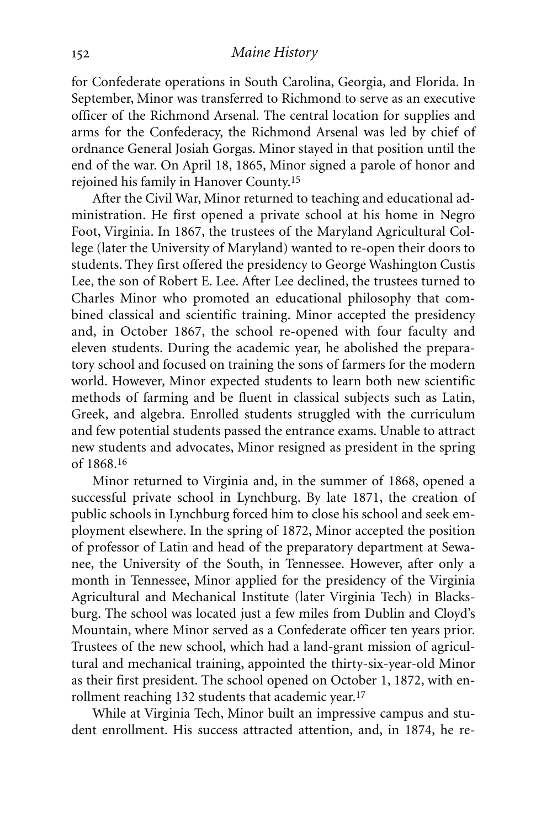for Confederate operations in South Carolina, Georgia, and Florida. In September, Minor was transferred to Richmond to serve as an executive officer of the Richmond Arsenal. The central location for supplies and arms for the Confederacy, the Richmond Arsenal was led by chief of ordnance General Josiah Gorgas. Minor stayed in that position until the end of the war. On April 18, 1865, Minor signed a parole of honor and rejoined his family in Hanover County. 15

After the Civil War, Minor returned to teaching and educational administration. He first opened a private school at his home in Negro Foot, Virginia. In 1867, the trustees of the Maryland Agricultural College (later the University of Maryland) wanted to re-open their doors to students. They first offered the presidency to George Washington Custis Lee, the son of Robert E. Lee. After Lee declined, the trustees turned to Charles Minor who promoted an educational philosophy that combined classical and scientific training. Minor accepted the presidency and, in October 1867, the school re-opened with four faculty and eleven students. During the academic year, he abolished the preparatory school and focused on training the sons of farmers for the modern world. However, Minor expected students to learn both new scientific methods of farming and be fluent in classical subjects such as Latin, Greek, and algebra. Enrolled students struggled with the curriculum and few potential students passed the entrance exams. Unable to attract new students and advocates, Minor resigned as president in the spring of 1868.16

Minor returned to Virginia and, in the summer of 1868, opened a successful private school in Lynchburg. By late 1871, the creation of public schools in Lynchburg forced him to close his school and seek employment elsewhere. In the spring of 1872, Minor accepted the position of professor of Latin and head of the preparatory department at Sewanee, the University of the South, in Tennessee. However, after only a month in Tennessee, Minor applied for the presidency of the Virginia Agricultural and Mechanical Institute (later Virginia Tech) in Blacksburg. The school was located just a few miles from Dublin and Cloyd's Mountain, where Minor served as a Confederate officer ten years prior. Trustees of the new school, which had a land-grant mission of agricultural and mechanical training, appointed the thirty-six-year-old Minor as their first president. The school opened on October 1, 1872, with enrollment reaching 132 students that academic year. 17

While at Virginia Tech, Minor built an impressive campus and student enrollment. His success attracted attention, and, in 1874, he re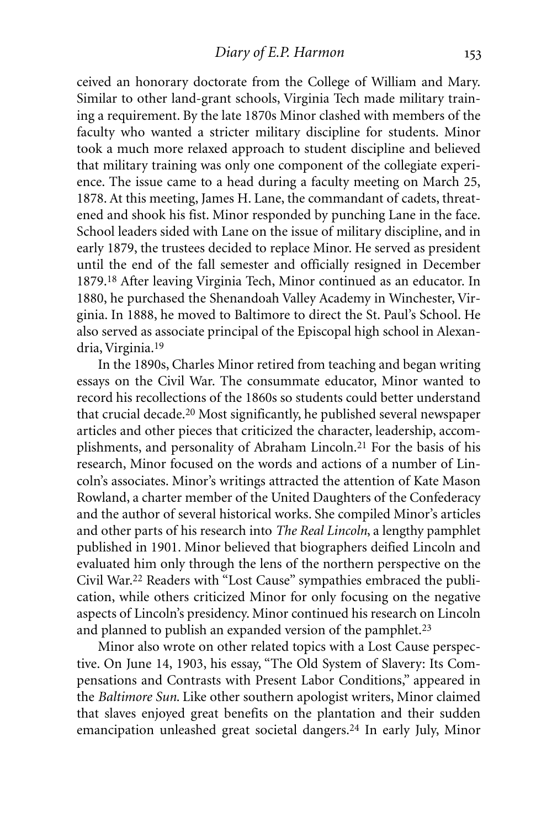ceived an honorary doctorate from the College of William and Mary. Similar to other land-grant schools, Virginia Tech made military training a requirement. By the late 1870s Minor clashed with members of the faculty who wanted a stricter military discipline for students. Minor took a much more relaxed approach to student discipline and believed that military training was only one component of the collegiate experience. The issue came to a head during a faculty meeting on March 25, 1878. At this meeting, James H. Lane, the commandant of cadets, threatened and shook his fist. Minor responded by punching Lane in the face. School leaders sided with Lane on the issue of military discipline, and in early 1879, the trustees decided to replace Minor. He served as president until the end of the fall semester and officially resigned in December 1879. 18 After leaving Virginia Tech, Minor continued as an educator. In 1880, he purchased the Shenandoah Valley Academy in Winchester, Virginia. In 1888, he moved to Baltimore to direct the St. Paul's School. He also served as associate principal of the Episcopal high school in Alexandria, Virginia.<sup>19</sup>

In the 1890s, Charles Minor retired from teaching and began writing essays on the Civil War. The consummate educator, Minor wanted to record his recollections of the 1860s so students could better understand that crucial decade.20 Most significantly, he published several newspaper articles and other pieces that criticized the character, leadership, accomplishments, and personality of Abraham Lincoln. 21 For the basis of his research, Minor focused on the words and actions of a number of Lincoln's associates. Minor's writings attracted the attention of Kate Mason Rowland, a charter member of the United Daughters of the Confederacy and the author of several historical works. She compiled Minor's articles and other parts of his research into *The Real Lincoln*, a lengthy pamphlet published in 1901. Minor believed that biographers deified Lincoln and evaluated him only through the lens of the northern perspective on the Civil War. 22 Readers with "Lost Cause" sympathies embraced the publication, while others criticized Minor for only focusing on the negative aspects of Lincoln's presidency. Minor continued his research on Lincoln and planned to publish an expanded version of the pamphlet.<sup>23</sup>

Minor also wrote on other related topics with a Lost Cause perspective. On June 14, 1903, his essay, "The Old System of Slavery: Its Compensations and Contrasts with Present Labor Conditions," appeared in the *Baltimore Sun*. Like other southern apologist writers, Minor claimed that slaves enjoyed great benefits on the plantation and their sudden emancipation unleashed great societal dangers. 24 In early July, Minor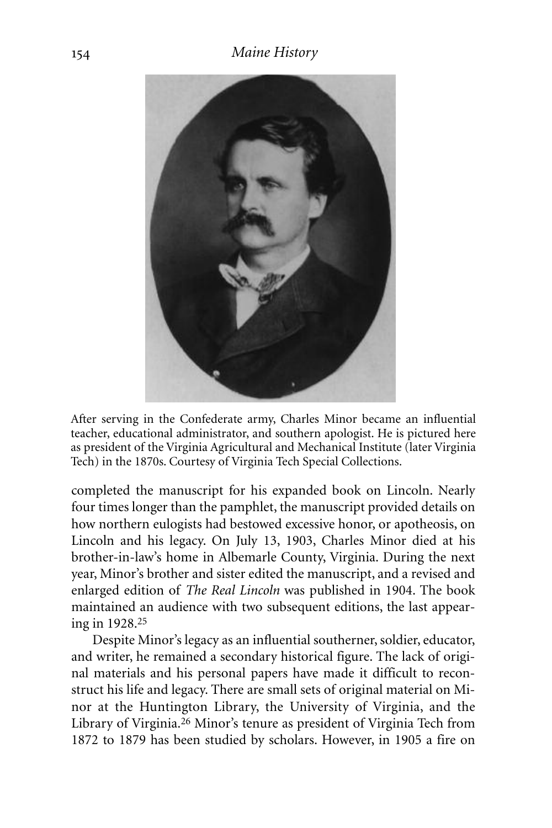

After serving in the Confederate army, Charles Minor became an influential teacher, educational administrator, and southern apologist. He is pictured here as president of the Virginia Agricultural and Mechanical Institute (later Virginia Tech) in the 1870s. Courtesy of Virginia Tech Special Collections.

completed the manuscript for his expanded book on Lincoln. Nearly four times longer than the pamphlet, the manuscript provided details on how northern eulogists had bestowed excessive honor, or apotheosis, on Lincoln and his legacy. On July 13, 1903, Charles Minor died at his brother-in-law's home in Albemarle County, Virginia. During the next year, Minor's brother and sister edited the manuscript, and a revised and enlarged edition of *The Real Lincoln* was published in 1904. The book maintained an audience with two subsequent editions, the last appearing in 1928. 25

Despite Minor's legacy as an influential southerner, soldier, educator, and writer, he remained a secondary historical figure. The lack of original materials and his personal papers have made it difficult to reconstruct his life and legacy. There are small sets of original material on Minor at the Huntington Library, the University of Virginia, and the Library of Virginia. 26 Minor's tenure as president of Virginia Tech from 1872 to 1879 has been studied by scholars. However, in 1905 a fire on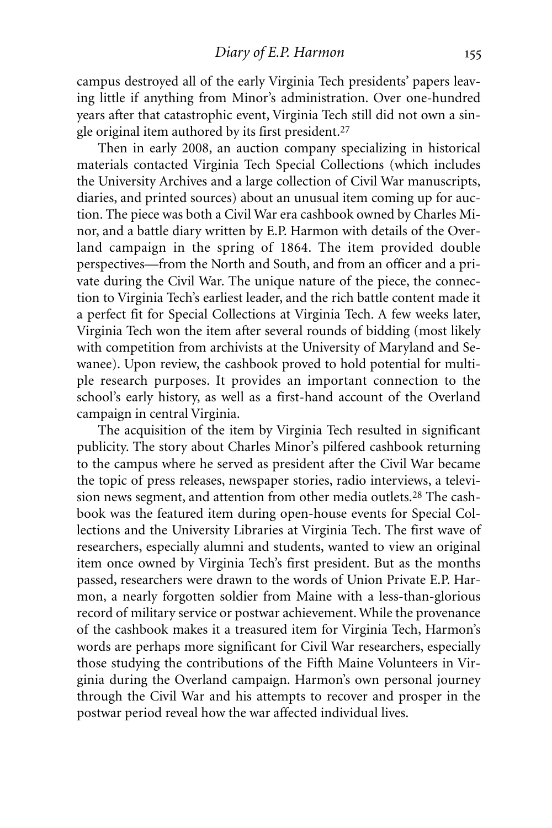campus destroyed all of the early Virginia Tech presidents' papers leaving little if anything from Minor's administration. Over one-hundred years after that catastrophic event, Virginia Tech still did not own a single original item authored by its first president.27

Then in early 2008, an auction company specializing in historical materials contacted Virginia Tech Special Collections (which includes the University Archives and a large collection of Civil War manuscripts, diaries, and printed sources) about an unusual item coming up for auction. The piece was both a Civil War era cashbook owned by Charles Minor, and a battle diary written by E.P. Harmon with details of the Overland campaign in the spring of 1864. The item provided double perspectives—from the North and South, and from an officer and a private during the Civil War. The unique nature of the piece, the connection to Virginia Tech's earliest leader, and the rich battle content made it a perfect fit for Special Collections at Virginia Tech. A few weeks later, Virginia Tech won the item after several rounds of bidding (most likely with competition from archivists at the University of Maryland and Sewanee). Upon review, the cashbook proved to hold potential for multiple research purposes. It provides an important connection to the school's early history, as well as a first-hand account of the Overland campaign in central Virginia.

The acquisition of the item by Virginia Tech resulted in significant publicity. The story about Charles Minor's pilfered cashbook returning to the campus where he served as president after the Civil War became the topic of press releases, newspaper stories, radio interviews, a television news segment, and attention from other media outlets.28 The cashbook was the featured item during open-house events for Special Collections and the University Libraries at Virginia Tech. The first wave of researchers, especially alumni and students, wanted to view an original item once owned by Virginia Tech's first president. But as the months passed, researchers were drawn to the words of Union Private E.P. Harmon, a nearly forgotten soldier from Maine with a less-than-glorious record of military service or postwar achievement. While the provenance of the cashbook makes it a treasured item for Virginia Tech, Harmon's words are perhaps more significant for Civil War researchers, especially those studying the contributions of the Fifth Maine Volunteers in Virginia during the Overland campaign. Harmon's own personal journey through the Civil War and his attempts to recover and prosper in the postwar period reveal how the war affected individual lives.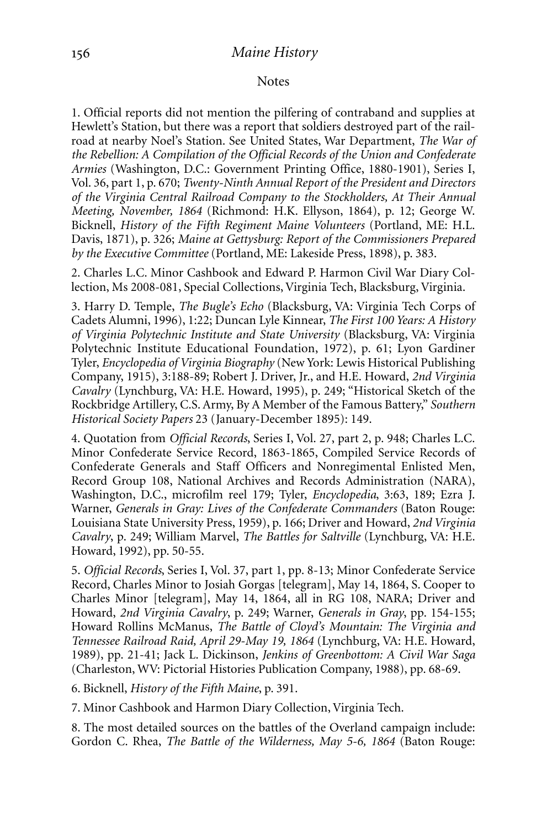#### **Notes**

1. Official reports did not mention the pilfering of contraband and supplies at Hewlett's Station, but there was a report that soldiers destroyed part of the railroad at nearby Noel's Station. See United States, War Department, *The War of the Rebellion: A Compilation of the Official Records of the Union and Confederate Armies* (Washington, D.C.: Government Printing Office, 1880-1901), Series I, Vol. 36, part 1, p. 670; *Twenty-Ninth Annual Report of the President and Directors of the Virginia Central Railroad Company to the Stockholders, At Their Annual Meeting, November, 1864* (Richmond: H.K. Ellyson, 1864), p. 12; George W. Bicknell, *History of the Fifth Regiment Maine Volunteers* (Portland, ME: H.L. Davis, 1871), p. 326; *Maine at Gettysburg: Report of the Commissioners Prepared by the Executive Committee* (Portland, ME: Lakeside Press, 1898), p. 383.

2. Charles L.C. Minor Cashbook and Edward P. Harmon Civil War Diary Collection, Ms 2008-081, Special Collections, Virginia Tech, Blacksburg, Virginia.

3. Harry D. Temple, *The Bugle's Echo* (Blacksburg, VA: Virginia Tech Corps of Cadets Alumni, 1996), 1:22; Duncan Lyle Kinnear, *The First 100 Years: A History of Virginia Polytechnic Institute and State University* (Blacksburg, VA: Virginia Polytechnic Institute Educational Foundation, 1972), p. 61; Lyon Gardiner Tyler, *Encyclopedia of Virginia Biography* (New York: Lewis Historical Publishing Company, 1915), 3:188-89; Robert J. Driver, Jr., and H.E. Howard, *2nd Virginia Cavalry* (Lynchburg, VA: H.E. Howard, 1995), p. 249; "Historical Sketch of the Rockbridge Artillery, C.S. Army, By A Member of the Famous Battery," *Southern Historical Society Papers* 23 (January-December 1895): 149.

4. Quotation from *Official Records*, Series I, Vol. 27, part 2, p. 948; Charles L.C. Minor Confederate Service Record, 1863-1865, Compiled Service Records of Confederate Generals and Staff Officers and Nonregimental Enlisted Men, Record Group 108, National Archives and Records Administration (NARA), Washington, D.C., microfilm reel 179; Tyler, *Encyclopedia*, 3:63, 189; Ezra J. Warner, *Generals in Gray: Lives of the Confederate Commanders* (Baton Rouge: Louisiana State University Press, 1959), p. 166; Driver and Howard, *2nd Virginia Cavalry*, p. 249; William Marvel, *The Battles for Saltville* (Lynchburg, VA: H.E. Howard, 1992), pp. 50-55.

5. *Official Records*, Series I, Vol. 37, part 1, pp. 8-13; Minor Confederate Service Record, Charles Minor to Josiah Gorgas [telegram], May 14, 1864, S. Cooper to Charles Minor [telegram], May 14, 1864, all in RG 108, NARA; Driver and Howard, *2nd Virginia Cavalry*, p. 249; Warner, *Generals in Gray*, pp. 154-155; Howard Rollins McManus, *The Battle of Cloyd's Mountain: The Virginia and Tennessee Railroad Raid, April 29-May 19, 1864* (Lynchburg, VA: H.E. Howard, 1989), pp. 21-41; Jack L. Dickinson, *Jenkins of Greenbottom: A Civil War Saga* (Charleston, WV: Pictorial Histories Publication Company, 1988), pp. 68-69.

6. Bicknell, *History of the Fifth Maine*, p. 391.

7. Minor Cashbook and Harmon Diary Collection, Virginia Tech.

8. The most detailed sources on the battles of the Overland campaign include: Gordon C. Rhea, *The Battle of the Wilderness, May 5-6, 1864* (Baton Rouge: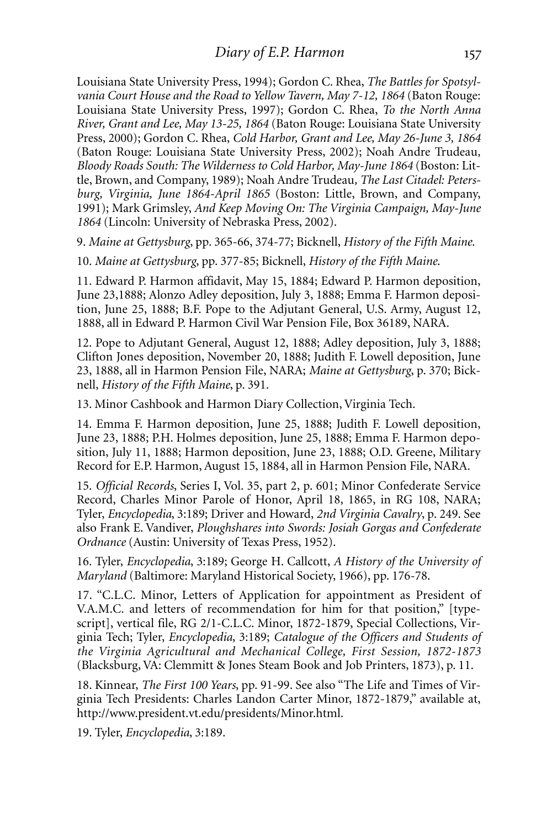Louisiana State University Press, 1994); Gordon C. Rhea, *The Battles for Spotsylvania Court House and the Road to Yellow Tavern, May 7-12, 1864* (Baton Rouge: Louisiana State University Press, 1997); Gordon C. Rhea, *To the North Anna River, Grant and Lee, May 13-25, 1864* (Baton Rouge: Louisiana State University Press, 2000); Gordon C. Rhea, *Cold Harbor, Grant and Lee, May 26-June 3, 1864* (Baton Rouge: Louisiana State University Press, 2002); Noah Andre Trudeau*, Bloody Roads South: The Wilderness to Cold Harbor, May-June 1864* (Boston: Little, Brown, and Company, 1989); Noah Andre Trudeau*, The Last Citadel: Petersburg, Virginia, June 1864-April 1865* (Boston: Little, Brown, and Company, 1991); Mark Grimsley, *And Keep Moving On: The Virginia Campaign, May-June 1864* (Lincoln: University of Nebraska Press, 2002).

9. *Maine at Gettysburg*, pp. 365-66, 374-77; Bicknell, *History of the Fifth Maine*.

10. *Maine at Gettysburg*, pp. 377-85; Bicknell, *History of the Fifth Maine*.

11. Edward P. Harmon affidavit, May 15, 1884; Edward P. Harmon deposition, June 23,1888; Alonzo Adley deposition, July 3, 1888; Emma F. Harmon deposition, June 25, 1888; B.F. Pope to the Adjutant General, U.S. Army, August 12, 1888, all in Edward P. Harmon Civil War Pension File, Box 36189, NARA.

12. Pope to Adjutant General, August 12, 1888; Adley deposition, July 3, 1888; Clifton Jones deposition, November 20, 1888; Judith F. Lowell deposition, June 23, 1888, all in Harmon Pension File, NARA; *Maine at Gettysburg*, p. 370; Bicknell, *History of the Fifth Maine*, p. 391.

13. Minor Cashbook and Harmon Diary Collection, Virginia Tech.

14. Emma F. Harmon deposition, June 25, 1888; Judith F. Lowell deposition, June 23, 1888; P.H. Holmes deposition, June 25, 1888; Emma F. Harmon deposition, July 11, 1888; Harmon deposition, June 23, 1888; O.D. Greene, Military Record for E.P. Harmon, August 15, 1884, all in Harmon Pension File, NARA.

15. *Official Records*, Series I, Vol. 35, part 2, p. 601; Minor Confederate Service Record, Charles Minor Parole of Honor, April 18, 1865, in RG 108, NARA; Tyler, *Encyclopedia*, 3:189; Driver and Howard, *2nd Virginia Cavalry*, p. 249. See also Frank E. Vandiver, *Ploughshares into Swords: Josiah Gorgas and Confederate Ordnance* (Austin: University of Texas Press, 1952).

16. Tyler, *Encyclopedia*, 3:189; George H. Callcott, *A History of the University of Maryland* (Baltimore: Maryland Historical Society, 1966), pp. 176-78.

17. "C.L.C. Minor, Letters of Application for appointment as President of V.A.M.C. and letters of recommendation for him for that position," [typescript], vertical file, RG 2/1-C.L.C. Minor, 1872-1879, Special Collections, Virginia Tech; Tyler, *Encyclopedia*, 3:189; *Catalogue of the Officers and Students of the Virginia Agricultural and Mechanical College, First Session, 1872-1873* (Blacksburg,VA: Clemmitt & Jones Steam Book and Job Printers, 1873), p. 11.

18. Kinnear, *The First 100 Years*, pp. 91-99. See also "The Life and Times of Virginia Tech Presidents: Charles Landon Carter Minor, 1872-1879," available at, http://www.president.vt.edu/presidents/Minor.html.

19. Tyler, *Encyclopedia*, 3:189.